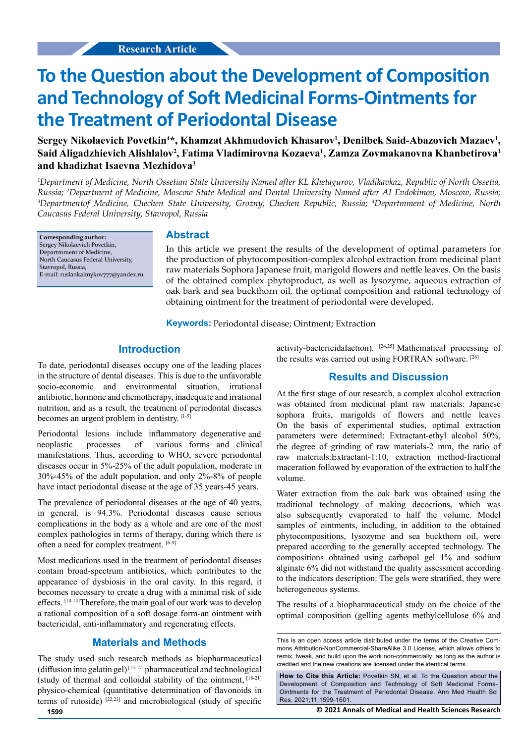# **To the Question about the Development of Composition and Technology of Soft Medicinal Forms-Ointments for the Treatment of Periodontal Disease**

Sergey Nikolaevich Povetkin<sup>4\*</sup>, Khamzat Akhmudovich Khasarov<sup>1</sup>, Denilbek Said-Abazovich Mazaev<sup>1</sup>, **Said Aligadzhievich Alishlalov2 , Fatima Vladimirovna Kozaeva1 , Zamza Zovmakanovna Khanbetirova1 and khadizhat Isaevna Mezhidova3**

*1 Department of Medicine, North Ossetian State University Named after KL Khetagurov, Vladikavkaz, Republic of North Ossetia,*  Russia; <sup>2</sup>Department of Medicine, Moscow State Medical and Dental University Named after AI Evdokimov, Moscow, Russia;<br><sup>3</sup>Departmentof Medicine, Chechen State University, Grozny, Chechen Republic, Russia: <sup>4</sup>Departmment o *Departmentof Medicine, Chechen State University, Grozny, Chechen Republic, Russia; 4 Departmment of Medicine, North Caucasus Federal University, Stavropol, Russia*

**Corresponding author:** Sergey Nikolaevich Povetkin, Departmment of Medicine, North Caucasus Federal University, Stavropol, Russia, E-mail: ruslankalmykov777@yandex.ru

### **Abstract**

In this article we present the results of the development of optimal parameters for the production of phytocomposition-complex alcohol extraction from medicinal plant raw materials Sophora Japanese fruit, marigold flowers and nettle leaves. On the basis of the obtained complex phytoproduct, as well as lysozyme, aqueous extraction of oak bark and sea buckthorn oil, the optimal composition and rational technology of obtaining ointment for the treatment of periodontal were developed.

**Keywords:** Periodontal disease; Ointment; Extraction

## **Introduction**

To date, periodontal diseases occupy one of the leading places in the structure of dental diseases. This is due to the unfavorable socio-economic and environmental situation, irrational antibiotic, hormone and chemotherapy, inadequate and irrational nutrition, and as a result, the treatment of periodontal diseases becomes an urgent problem in dentistry. [1-5]

Periodontal lesions include inflammatory degenerative and manifestations. Thus, according to WHO, severe periodontal diseases occur in 5%-25% of the adult population, moderate in 30%-45% of the adult population, and only 2%-8% of people have intact periodontal disease at the age of 35 years-45 years. neoplastic processes of various forms and clinical

The prevalence of periodontal diseases at the age of 40 years, in general, is 94.3%. Periodontal diseases cause serious complications in the body as a whole and are one of the most complex pathologies in terms of therapy, during which there is often a need for complex treatment. [6-9]

Most medications used in the treatment of periodontal diseases contain broad-spectrum antibiotics, which contributes to the appearance of dysbiosis in the oral cavity. In this regard, it becomes necessary to create a drug with a minimal risk of side effects. [10-14]Therefore, the main goal of our work was to develop a rational composition of a soft dosage form-an ointment with bactericidal, anti-inflammatory and regenerating effects.

# **Materials and Methods**

The study used such research methods as biopharmaceutical (diffusion into gelatin gel) $[15-17]$  pharmaceutical and technological (study of thermal and colloidal stability of the ointment, [18-21] physico-chemical (quantitative determination of flavonoids in terms of rutoside)  $[22,23]$  and microbiological (study of specific

activity-bactericidalaction). [24,25] Mathematical processing of the results was carried out using FORTRAN software. [26]

## **Results and Discussion**

At the first stage of our research, a complex alcohol extraction was obtained from medicinal plant raw materials: Japanese sophora fruits, marigolds of flowers and nettle leaves On the basis of experimental studies, optimal extraction parameters were determined: Extractant-ethyl alcohol 50%, the degree of grinding of raw materials-2 mm, the ratio of raw materials:Extractant-1:10, extraction method-fractional maceration followed by evaporation of the extraction to half the volume.

Water extraction from the oak bark was obtained using the traditional technology of making decoctions, which was also subsequently evaporated to half the volume. Model samples of ointments, including, in addition to the obtained phytocompositions, lysozyme and sea buckthorn oil, were prepared according to the generally accepted technology. The compositions obtained using carbopol gel 1% and sodium alginate 6% did not withstand the quality assessment according to the indicators description: The gels were stratified, they were heterogeneous systems.

The results of a biopharmaceutical study on the choice of the optimal composition (gelling agents methylcellulose 6% and

This is an open access article distributed under the terms of the Creative Commons Attribution-NonCommercial-ShareAlike 3.0 License, which allows others to remix, tweak, and build upon the work non-commercially, as long as the author is credited and the new creations are licensed under the identical terms.

**How to Cite this Article:** Povetkin SN, et al. To the Question about the Development of Composition and Technology of Soft Medicinal Forms-Ointments for the Treatment of Periodontal Disease. Ann Med Health Sci Res. 2021;11:1599-1601.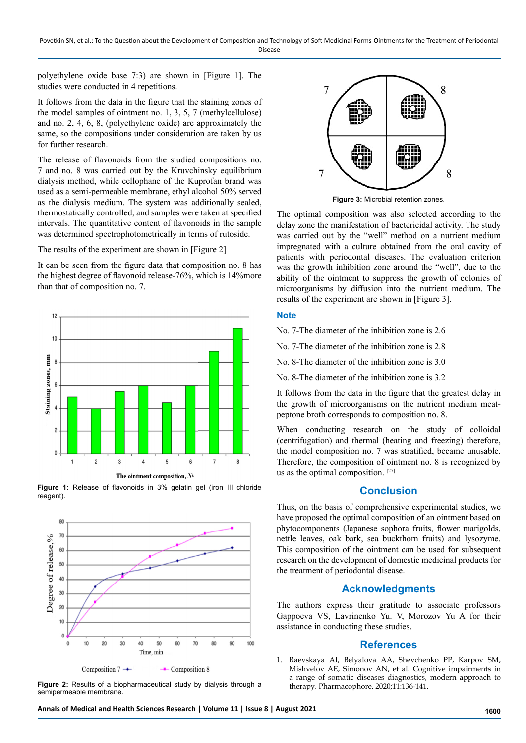Povetkin SN, et al.: To the Question about the Development of Composition and Technology of Soft Medicinal Forms-Ointments for the Treatment of Periodontal Disease

polyethylene oxide base 7:3) are shown in [Figure 1]. The studies were conducted in 4 repetitions.

It follows from the data in the figure that the staining zones of the model samples of ointment no. 1, 3, 5, 7 (methylcellulose) and no. 2, 4, 6, 8, (polyethylene oxide) are approximately the same, so the compositions under consideration are taken by us for further research.

The release of flavonoids from the studied compositions no. 7 and no. 8 was carried out by the Kruvchinsky equilibrium dialysis method, while cellophane of the Kuprofan brand was used as a semi-permeable membrane, ethyl alcohol 50% served as the dialysis medium. The system was additionally sealed, thermostatically controlled, and samples were taken at specified intervals. The quantitative content of flavonoids in the sample was determined spectrophotometrically in terms of rutoside.

The results of the experiment are shown in [Figure 2]

It can be seen from the figure data that composition no. 8 has the highest degree of flavonoid release-76%, which is 14%more than that of composition no. 7.



**Figure 1:** Release of flavonoids in 3% gelatin gel (iron III chloride reagent).



**Figure 2:** Results of a biopharmaceutical study by dialysis through a semipermeable membrane.



**Figure 3:** Microbial retention zones.

The optimal composition was also selected according to the delay zone the manifestation of bactericidal activity. The study was carried out by the "well" method on a nutrient medium impregnated with a culture obtained from the oral cavity of patients with periodontal diseases. The evaluation criterion was the growth inhibition zone around the "well", due to the ability of the ointment to suppress the growth of colonies of microorganisms by diffusion into the nutrient medium. The results of the experiment are shown in [Figure 3].

#### **Note**

No. 7-The diameter of the inhibition zone is 2.6

No. 7-The diameter of the inhibition zone is 2.8

No. 8-The diameter of the inhibition zone is 3.0

No. 8-The diameter of the inhibition zone is 3.2

It follows from the data in the figure that the greatest delay in the growth of microorganisms on the nutrient medium meatpeptone broth corresponds to composition no. 8.

When conducting research on the study of colloidal (centrifugation) and thermal (heating and freezing) therefore, the model composition no. 7 was stratified, became unusable. Therefore, the composition of ointment no. 8 is recognized by us as the optimal composition. [27]

## **Conclusion**

Thus, on the basis of comprehensive experimental studies, we have proposed the optimal composition of an ointment based on phytocomponents (Japanese sophora fruits, flower marigolds, nettle leaves, oak bark, sea buckthorn fruits) and lysozyme. This composition of the ointment can be used for subsequent research on the development of domestic medicinal products for the treatment of periodontal disease.

#### **Acknowledgments**

The authors express their gratitude to associate professors Gappoeva VS, Lavrinenko Yu. V, Morozov Yu A for their assistance in conducting these studies.

#### **References**

1. Raevskaya AI, Belyalova AA, Shevchenko PP, Karpov SM, Mishvelov AE, Simonov AN, et al. Cognitive impairments in a range of somatic diseases diagnostics, modern approach to therapy. Pharmacophore. 2020;11:136-141.